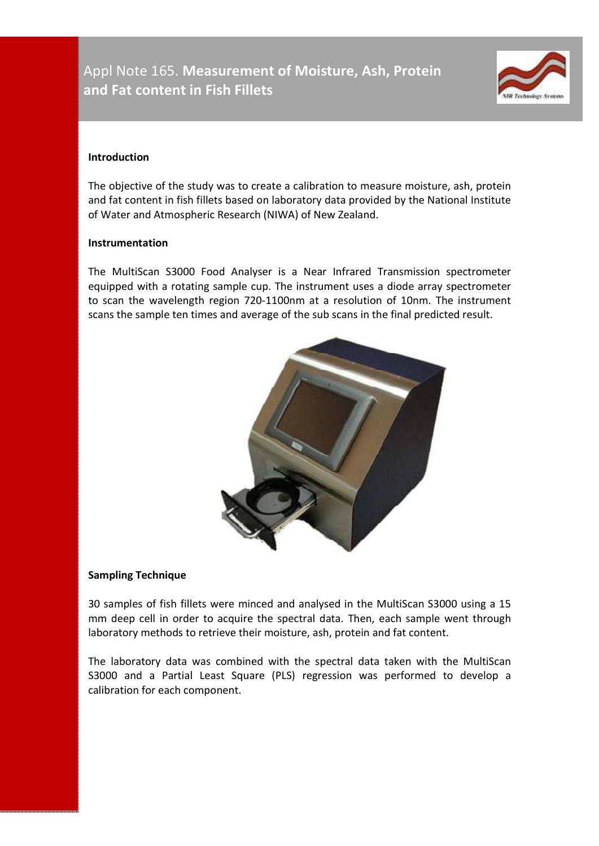# Appl Note 165. **Measurement of Moisture, Ash, Protein and Fat content in Fish Fillets**



#### **Introduction**

The objective of the study was to create a calibration to measure moisture, ash, protein and fat content in fish fillets based on laboratory data provided by the National Institute of Water and Atmospheric Research (NIWA) of New Zealand.

#### **Instrumentation**

The MultiScan S3000 Food Analyser is a Near Infrared Transmission spectrometer equipped with a rotating sample cup. The instrument uses a diode array spectrometer to scan the wavelength region 720-1100nm at a resolution of 10nm. The instrument scans the sample ten times and average of the sub scans in the final predicted result.



## **Sampling Technique**

30 samples of fish fillets were minced and analysed in the MultiScan S3000 using a 15 mm deep cell in order to acquire the spectral data. Then, each sample went through laboratory methods to retrieve their moisture, ash, protein and fat content.

The laboratory data was combined with the spectral data taken with the MultiScan S3000 and a Partial Least Square (PLS) regression was performed to develop a calibration for each component.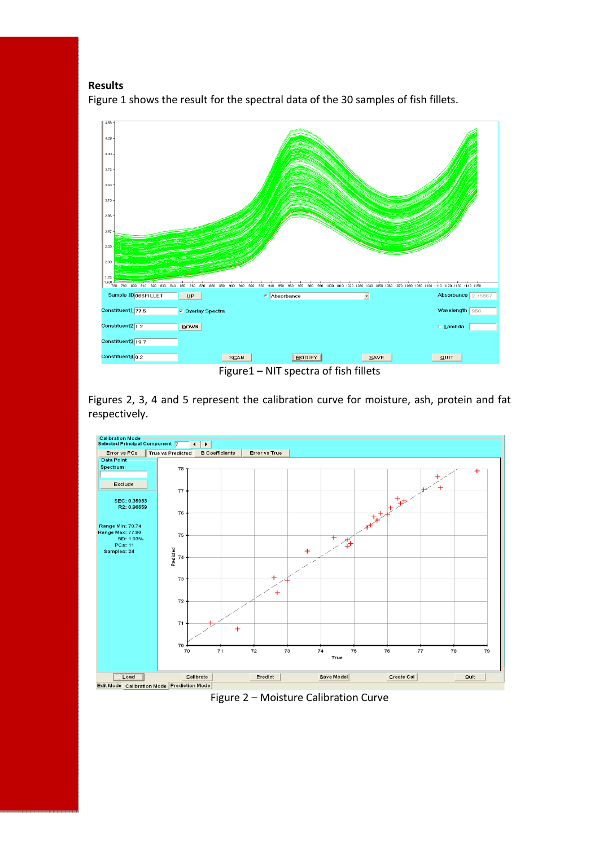## **Results**

Figure 1 shows the result for the spectral data of the 30 samples of fish fillets.



Figure1 – NIT spectra of fish fillets

Figures 2, 3, 4 and 5 represent the calibration curve for moisture, ash, protein and fat respectively.



Figure 2 – Moisture Calibration Curve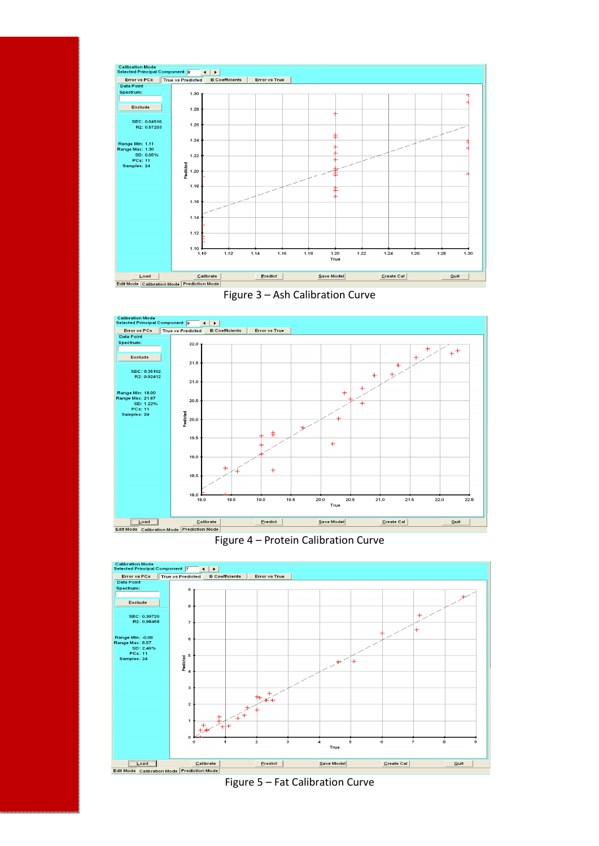

Figure 3 – Ash Calibration Curve



Figure 4 – Protein Calibration Curve



Figure 5 – Fat Calibration Curve